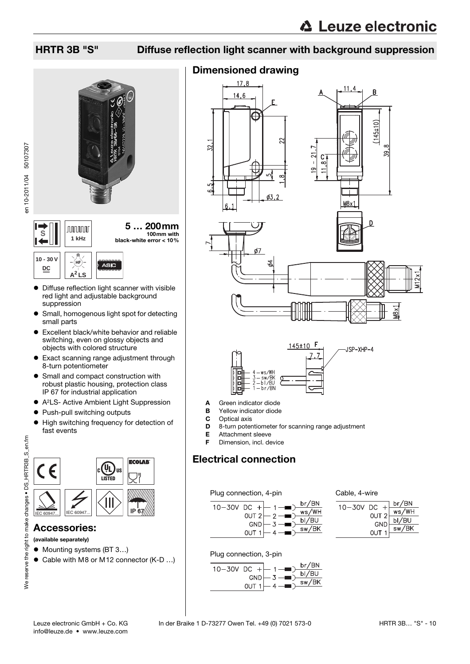### HRTR 3B "S" Diffuse reflection light scanner with background suppression



en 10-2011/04 50107307

**S**



- Diffuse reflection light scanner with visible red light and adjustable background suppression
- **•** Small, homogenous light spot for detecting small parts
- Excellent black/white behavior and reliable switching, even on glossy objects and objects with colored structure
- Exact scanning range adjustment through 8-turn potentiometer
- Small and compact construction with robust plastic housing, protection class IP 67 for industrial application
- A2LS- Active Ambient Light Suppression
- Push-pull switching outputs
- $\bullet$  High switching frequency for detection of fast events



### Accessories:

(available separately)

- Mounting systems (BT 3...)
- Cable with M8 or M12 connector (K-D ...)

### Dimensioned drawing









- A Green indicator diode
- **B** Yellow indicator diode<br>**C** Optical axis
- Optical axis
- **D** 8-turn potentiometer for scanning range adjustment
- E Attachment sleeve
- F Dimension, incl. device

### Electrical connection

Plug connection, 4-pin



Cable, 4-wire



Plug connection, 3-pin

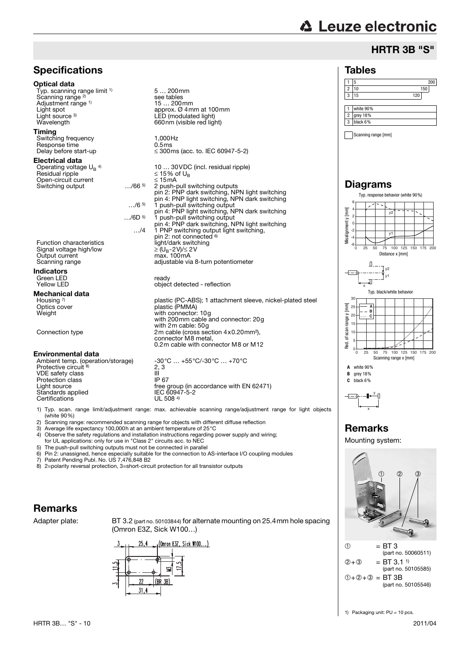# **∆ Leuze electronic**

Tables

1 white 90% 2 grey 18% 3 black 6%

Scanning range [mm]

Diagrams

-6 -4 -2  $\overline{0}$ 2 4 6

x

**A B C**

 $\mathbb{R}$ 

J.

Misalignment y [mm]

**Visalignment v** 

 $[mm]$ 

**A** white 90% **B** grey 18% **C** black 6%

x  $+\overline{\phantom{a}}$ y

Remarks Mounting system:

➀ = BT 3

 $(2+3)$  = BT 3.1<sup>1</sup>

 $(1) + (2) + (3) = BT 3B$ 

10 5 0

<sub>15</sub>  $\overline{2}$ <sub>21</sub> 30

Red. of scan range y [mm]

[mm] range v of scan r Red.

### HRTR 3B "S"

 $1 \t 5$  200 2 10 150 3 15 120

0 25 50 75 100 125 150 175 200

0 25 50 75 100 125 150 175 200

Scanning range x [mm]

Distance x [mm]

T v2

y1

Typ. black/white behavior

y

Typ. response behavior (white 90%)

y1

### **Specifications**

#### Optical data

Typ. scanning range limit <sup>1)</sup> Scanning range<sup>2)</sup> Adjustment range <sup>1)</sup><br>Light spot Light source 3)

#### Timing

Switching frequency 1,000Hz<br>
Response time 0.5 ms Response time<br>Delay before start-up

#### Electrical data

Operating voltage  $U_B$ <sup>4)</sup> Residual ripple ≤ 15% of UBS Section 15 metals of UBS Section 15 metals of UBS Section 15 metals of UBS Section 15 metals of UBS Section 15 metals of UBS Section 15 metals of UBS Section 15 metals of UBS Section 15 metals Open-circuit current<br>Switching output 15mA 1.166<sup>5</sup> Switching output

Function characteristics Signal voltage high/low<br>Output current Current continuous control of  $\geq$  Output current max. 100mA<br>
Signal voltage high/low  $\geq$  Output current max. 100mA<br>
Scanning range adjustable via 8

Indicators Green LED<br>
Yellow LED ready<br>
Yellow LED

#### Mechanical data

Housing 7)<br>Optics cover

#### Environmental data

Ambient temp. (operation/storage)  $-30^{\circ}\text{C}$  ... +55°C/-30°C ... +70°C Protective circuit VDE safety class III<br>Protection class IP 67 Protection class<br>Light source Standards applied IEC 6094<br>Certifications UL 508 <sup>4</sup> Certifications

- 1) Typ. scan. range limit/adjustment range: max. achievable scanning range/adjustment range for light objects (white 90%)
- 2) Scanning range: recommended scanning range for objects with different diffuse reflection
- 
- 4) Observe the safety regulations and installation instructions regarding power supply and wiring;
- 
- 5) The push-pull switching outputs must not be connected in parallel<br>6) Pin 2: unassigned, hence especially suitable for the connection to

Patent Pending Publ. No. US 7,476,848 B2

### Remarks

Adapter plate: BT 3.2 (part no. 50103844) for alternate mounting on 25.4mm hole spacing (Omron E3Z, Sick W100…)





Optics cover plastic (PMMA) Weight with connector: 10g with 200mm cable and connector: 20g with 2m cable: 50g Connection type 2m cable (cross section 4x0.20mm²), connector M8 metal, 0.2m cable with connector M8 or M12





- 
- 3) Average life expectancy 100,000h at an ambient temperature of 25°C 4) Observe the safety regulations and installation instructions regarding provided to
- for UL applications: only for use in "Class 2" circuits acc. to NEC
- 
- 6) Pin 2: unassigned, hence especially suitable for the connection to AS-interface I/O coupling modules

8) 2=polarity reversal protection, 3=short-circuit protection for all transistor outputs

### 1) Packaging unit: PU = 10 pcs.

(part no. 50060511)

 $\mathcal{P}_4$ 

➀➁➂

(part no. 50105585)

(part no. 50105546)

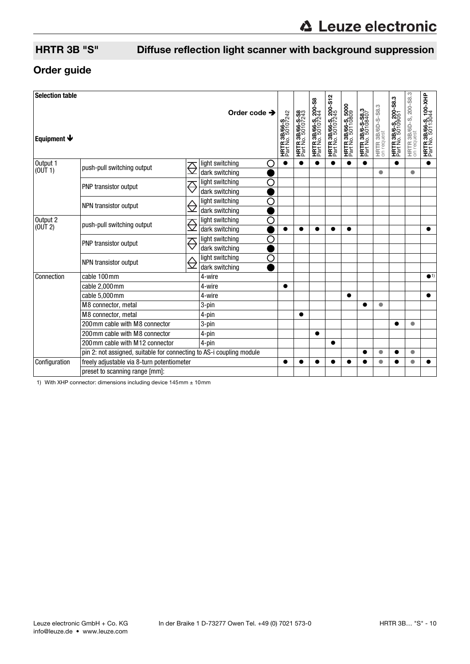## HRTR 3B "S" Diffuse reflection light scanner with background suppression

### Order guide

| <b>Selection table</b><br>Equipment $\blacklozenge$ |                                                                      |        | Order code $\rightarrow$                                | <b>HRTR 3B/66-S</b><br>Part No. 50107242 | <b>HRTR 3B/66-S-S8</b><br>Part No. 50107243 | <b>HRTR 3B/66-S, 200-S8</b><br>Part No. 50107244 | HRTR 3B/66-S, 200-S12<br>Part No. 50107245 | <b>HRTR 3B/66-S, 5000</b><br>Part No. 50110809 | <b>HRTR 3B/6-S-S8.3</b><br>Part No. 50108407 | HRTR 3B/6D-S-S8.3<br>on request | <b>HRTR 3B/6-S, 200-S8.3</b><br>Part No. 50109051 | <b>HRTR 3B/6D-S, 200-S8.3</b><br>on request | HRTR 3B/66-S, 100-XHP<br>Part No. 50113044 |
|-----------------------------------------------------|----------------------------------------------------------------------|--------|---------------------------------------------------------|------------------------------------------|---------------------------------------------|--------------------------------------------------|--------------------------------------------|------------------------------------------------|----------------------------------------------|---------------------------------|---------------------------------------------------|---------------------------------------------|--------------------------------------------|
| Output 1<br>(0 <sup>U</sup> T <sub>1</sub> )        | push-pull switching output                                           |        | light switching<br>O<br>dark switching                  |                                          |                                             |                                                  |                                            | $\bullet$                                      |                                              | $\bullet$                       |                                                   | $\bullet$                                   | $\bullet$                                  |
|                                                     | PNP transistor output                                                | ᅎ      | light switching<br>◯<br>dark switching                  |                                          |                                             |                                                  |                                            |                                                |                                              |                                 |                                                   |                                             |                                            |
|                                                     | NPN transistor output                                                |        | С<br>light switching<br>dark switching                  |                                          |                                             |                                                  |                                            |                                                |                                              |                                 |                                                   |                                             |                                            |
| Output 2<br>(OUT 2)                                 | push-pull switching output                                           | ᅎ      | С<br>light switching<br>dark switching                  |                                          |                                             |                                                  |                                            | $\bullet$                                      |                                              |                                 |                                                   |                                             | $\bullet$                                  |
|                                                     | PNP transistor output                                                | ╱      | О<br>light switching<br>dark switching                  |                                          |                                             |                                                  |                                            |                                                |                                              |                                 |                                                   |                                             |                                            |
|                                                     | NPN transistor output                                                |        | $\overline{\rm C}$<br>light switching<br>dark switching |                                          |                                             |                                                  |                                            |                                                |                                              |                                 |                                                   |                                             |                                            |
| Connection                                          | cable 100mm                                                          |        | 4-wire                                                  |                                          |                                             |                                                  |                                            |                                                |                                              |                                 |                                                   |                                             | $\bullet$ 1)                               |
|                                                     | cable 2,000mm                                                        |        | 4-wire                                                  |                                          |                                             |                                                  |                                            |                                                |                                              |                                 |                                                   |                                             |                                            |
|                                                     | cable 5,000mm                                                        | 4-wire |                                                         |                                          |                                             |                                                  | $\bullet$                                  |                                                |                                              |                                 |                                                   | $\bullet$                                   |                                            |
|                                                     | M8 connector, metal                                                  |        | 3-pin                                                   |                                          |                                             |                                                  |                                            |                                                |                                              | $\bullet$                       |                                                   |                                             |                                            |
|                                                     | M8 connector, metal                                                  |        | 4-pin                                                   |                                          | ●                                           |                                                  |                                            |                                                |                                              |                                 |                                                   |                                             |                                            |
|                                                     | 200mm cable with M8 connector                                        |        | 3-pin                                                   |                                          |                                             |                                                  |                                            |                                                |                                              |                                 |                                                   | $\bullet$                                   |                                            |
|                                                     | 200 mm cable with M8 connector                                       |        | 4-pin                                                   |                                          |                                             | $\bullet$                                        |                                            |                                                |                                              |                                 |                                                   |                                             |                                            |
|                                                     | 200mm cable with M12 connector                                       | 4-pin  |                                                         |                                          |                                             | $\bullet$                                        |                                            |                                                |                                              |                                 |                                                   |                                             |                                            |
|                                                     | pin 2: not assigned, suitable for connecting to AS-i coupling module |        |                                                         |                                          |                                             |                                                  |                                            |                                                | $\bullet$                                    |                                 | $\bullet$                                         |                                             |                                            |
| Configuration                                       | freely adjustable via 8-turn potentiometer                           |        |                                                         |                                          |                                             |                                                  |                                            | ●                                              |                                              | $\bullet$                       |                                                   | $\bullet$                                   |                                            |
|                                                     | preset to scanning range [mm]:                                       |        |                                                         |                                          |                                             |                                                  |                                            |                                                |                                              |                                 |                                                   |                                             |                                            |

1) With XHP connector: dimensions including device  $145$ mm  $\pm 10$ mm